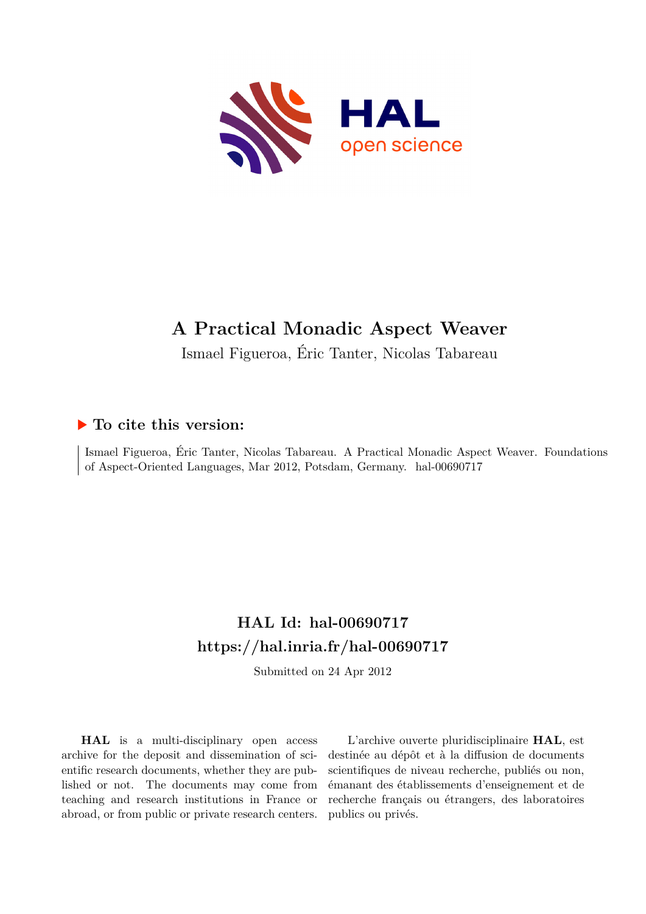

# **A Practical Monadic Aspect Weaver**

Ismael Figueroa, Éric Tanter, Nicolas Tabareau

# **To cite this version:**

Ismael Figueroa, Éric Tanter, Nicolas Tabareau. A Practical Monadic Aspect Weaver. Foundations of Aspect-Oriented Languages, Mar 2012, Potsdam, Germany. hal-00690717

# **HAL Id: hal-00690717 <https://hal.inria.fr/hal-00690717>**

Submitted on 24 Apr 2012

**HAL** is a multi-disciplinary open access archive for the deposit and dissemination of scientific research documents, whether they are published or not. The documents may come from teaching and research institutions in France or abroad, or from public or private research centers.

L'archive ouverte pluridisciplinaire **HAL**, est destinée au dépôt et à la diffusion de documents scientifiques de niveau recherche, publiés ou non, émanant des établissements d'enseignement et de recherche français ou étrangers, des laboratoires publics ou privés.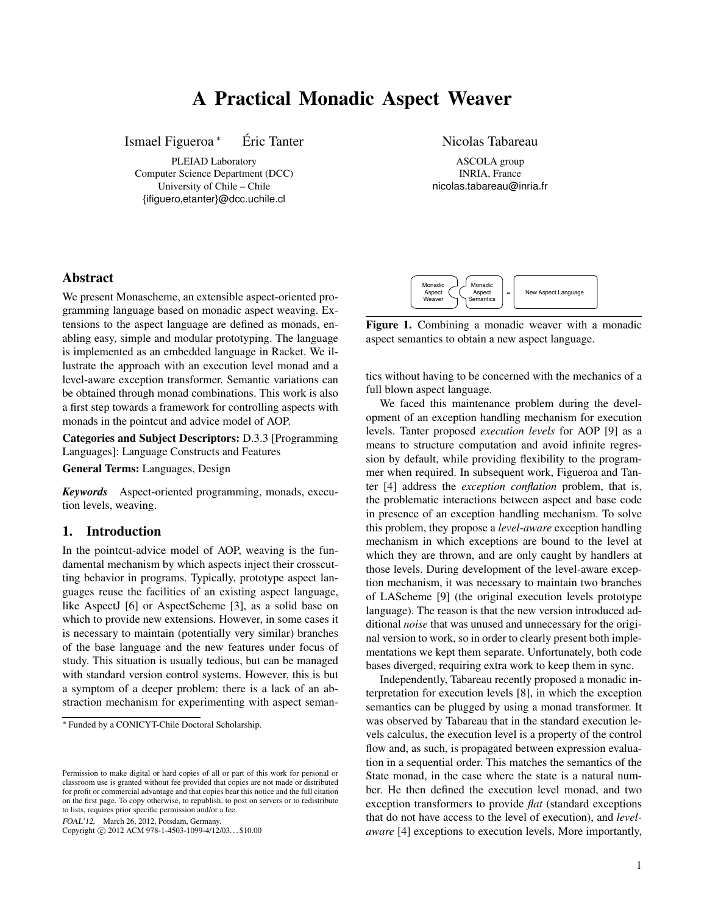# A Practical Monadic Aspect Weaver

Ismael Figueroa <sup>∗</sup> Éric Tanter

PLEIAD Laboratory Computer Science Department (DCC) University of Chile – Chile {ifiguero,etanter}@dcc.uchile.cl

Nicolas Tabareau

ASCOLA group INRIA, France nicolas.tabareau@inria.fr

# Abstract

We present Monascheme, an extensible aspect-oriented programming language based on monadic aspect weaving. Extensions to the aspect language are defined as monads, enabling easy, simple and modular prototyping. The language is implemented as an embedded language in Racket. We illustrate the approach with an execution level monad and a level-aware exception transformer. Semantic variations can be obtained through monad combinations. This work is also a first step towards a framework for controlling aspects with monads in the pointcut and advice model of AOP.

Categories and Subject Descriptors: D.3.3 [Programming Languages]: Language Constructs and Features

General Terms: Languages, Design

*Keywords* Aspect-oriented programming, monads, execution levels, weaving.

#### 1. Introduction

In the pointcut-advice model of AOP, weaving is the fundamental mechanism by which aspects inject their crosscutting behavior in programs. Typically, prototype aspect languages reuse the facilities of an existing aspect language, like AspectJ [6] or AspectScheme [3], as a solid base on which to provide new extensions. However, in some cases it is necessary to maintain (potentially very similar) branches of the base language and the new features under focus of study. This situation is usually tedious, but can be managed with standard version control systems. However, this is but a symptom of a deeper problem: there is a lack of an abstraction mechanism for experimenting with aspect seman-

FOAL'12, March 26, 2012, Potsdam, Germany.

Copyright © 2012 ACM 978-1-4503-1099-4/12/03... \$10.00

Monadic Aspect Weaver Monadic Aspect Semantics New Aspect Language

Figure 1. Combining a monadic weaver with a monadic aspect semantics to obtain a new aspect language.

tics without having to be concerned with the mechanics of a full blown aspect language.

We faced this maintenance problem during the development of an exception handling mechanism for execution levels. Tanter proposed *execution levels* for AOP [9] as a means to structure computation and avoid infinite regression by default, while providing flexibility to the programmer when required. In subsequent work, Figueroa and Tanter [4] address the *exception conflation* problem, that is, the problematic interactions between aspect and base code in presence of an exception handling mechanism. To solve this problem, they propose a *level-aware* exception handling mechanism in which exceptions are bound to the level at which they are thrown, and are only caught by handlers at those levels. During development of the level-aware exception mechanism, it was necessary to maintain two branches of LAScheme [9] (the original execution levels prototype language). The reason is that the new version introduced additional *noise* that was unused and unnecessary for the original version to work, so in order to clearly present both implementations we kept them separate. Unfortunately, both code bases diverged, requiring extra work to keep them in sync.

Independently, Tabareau recently proposed a monadic interpretation for execution levels [8], in which the exception semantics can be plugged by using a monad transformer. It was observed by Tabareau that in the standard execution levels calculus, the execution level is a property of the control flow and, as such, is propagated between expression evaluation in a sequential order. This matches the semantics of the State monad, in the case where the state is a natural number. He then defined the execution level monad, and two exception transformers to provide *flat* (standard exceptions that do not have access to the level of execution), and *levelaware* [4] exceptions to execution levels. More importantly,

<sup>∗</sup> Funded by a CONICYT-Chile Doctoral Scholarship.

Permission to make digital or hard copies of all or part of this work for personal or classroom use is granted without fee provided that copies are not made or distributed for profit or commercial advantage and that copies bear this notice and the full citation on the first page. To copy otherwise, to republish, to post on servers or to redistribute to lists, requires prior specific permission and/or a fee.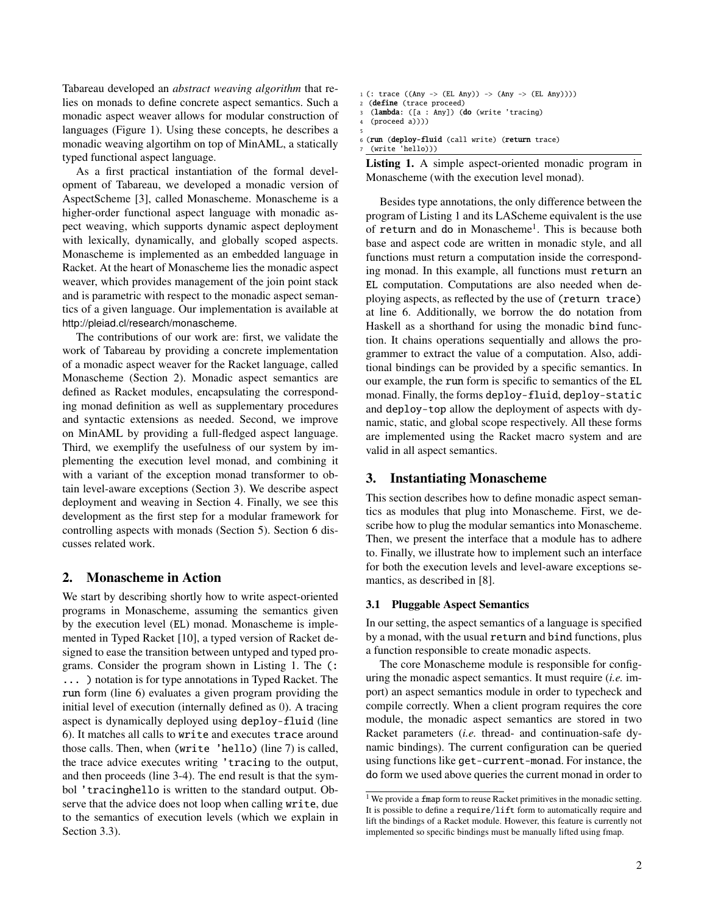Tabareau developed an *abstract weaving algorithm* that relies on monads to define concrete aspect semantics. Such a monadic aspect weaver allows for modular construction of languages (Figure 1). Using these concepts, he describes a monadic weaving algortihm on top of MinAML, a statically typed functional aspect language.

As a first practical instantiation of the formal development of Tabareau, we developed a monadic version of AspectScheme [3], called Monascheme. Monascheme is a higher-order functional aspect language with monadic aspect weaving, which supports dynamic aspect deployment with lexically, dynamically, and globally scoped aspects. Monascheme is implemented as an embedded language in Racket. At the heart of Monascheme lies the monadic aspect weaver, which provides management of the join point stack and is parametric with respect to the monadic aspect semantics of a given language. Our implementation is available at http://pleiad.cl/research/monascheme.

The contributions of our work are: first, we validate the work of Tabareau by providing a concrete implementation of a monadic aspect weaver for the Racket language, called Monascheme (Section 2). Monadic aspect semantics are defined as Racket modules, encapsulating the corresponding monad definition as well as supplementary procedures and syntactic extensions as needed. Second, we improve on MinAML by providing a full-fledged aspect language. Third, we exemplify the usefulness of our system by implementing the execution level monad, and combining it with a variant of the exception monad transformer to obtain level-aware exceptions (Section 3). We describe aspect deployment and weaving in Section 4. Finally, we see this development as the first step for a modular framework for controlling aspects with monads (Section 5). Section 6 discusses related work.

#### 2. Monascheme in Action

We start by describing shortly how to write aspect-oriented programs in Monascheme, assuming the semantics given by the execution level (EL) monad. Monascheme is implemented in Typed Racket [10], a typed version of Racket designed to ease the transition between untyped and typed programs. Consider the program shown in Listing 1. The (: ... ) notation is for type annotations in Typed Racket. The run form (line 6) evaluates a given program providing the initial level of execution (internally defined as 0). A tracing aspect is dynamically deployed using deploy-fluid (line 6). It matches all calls to write and executes trace around those calls. Then, when (write 'hello) (line 7) is called, the trace advice executes writing 'tracing to the output, and then proceeds (line 3-4). The end result is that the symbol 'tracinghello is written to the standard output. Observe that the advice does not loop when calling write, due to the semantics of execution levels (which we explain in Section 3.3).

- 1 (: trace ((Any -> (EL Any)) -> (Any -> (EL Any))))
- 2 (define (trace proceed)
- (lambda: ([a : Any]) (do (write 'tracing)  $(proceed a))))$
- 5
- 6 (run (deploy-fluid (call write) (return trace) (write 'hello)))

Listing 1. A simple aspect-oriented monadic program in Monascheme (with the execution level monad).

Besides type annotations, the only difference between the program of Listing 1 and its LAScheme equivalent is the use of return and do in Monascheme<sup>1</sup>. This is because both base and aspect code are written in monadic style, and all functions must return a computation inside the corresponding monad. In this example, all functions must return an EL computation. Computations are also needed when deploying aspects, as reflected by the use of (return trace) at line 6. Additionally, we borrow the do notation from Haskell as a shorthand for using the monadic bind function. It chains operations sequentially and allows the programmer to extract the value of a computation. Also, additional bindings can be provided by a specific semantics. In our example, the run form is specific to semantics of the EL monad. Finally, the forms deploy-fluid, deploy-static and deploy-top allow the deployment of aspects with dynamic, static, and global scope respectively. All these forms are implemented using the Racket macro system and are valid in all aspect semantics.

# 3. Instantiating Monascheme

This section describes how to define monadic aspect semantics as modules that plug into Monascheme. First, we describe how to plug the modular semantics into Monascheme. Then, we present the interface that a module has to adhere to. Finally, we illustrate how to implement such an interface for both the execution levels and level-aware exceptions semantics, as described in [8].

#### 3.1 Pluggable Aspect Semantics

In our setting, the aspect semantics of a language is specified by a monad, with the usual return and bind functions, plus a function responsible to create monadic aspects.

The core Monascheme module is responsible for configuring the monadic aspect semantics. It must require (*i.e.* import) an aspect semantics module in order to typecheck and compile correctly. When a client program requires the core module, the monadic aspect semantics are stored in two Racket parameters (*i.e.* thread- and continuation-safe dynamic bindings). The current configuration can be queried using functions like get-current-monad. For instance, the do form we used above queries the current monad in order to

<sup>&</sup>lt;sup>1</sup> We provide a fmap form to reuse Racket primitives in the monadic setting. It is possible to define a require/lift form to automatically require and lift the bindings of a Racket module. However, this feature is currently not implemented so specific bindings must be manually lifted using fmap.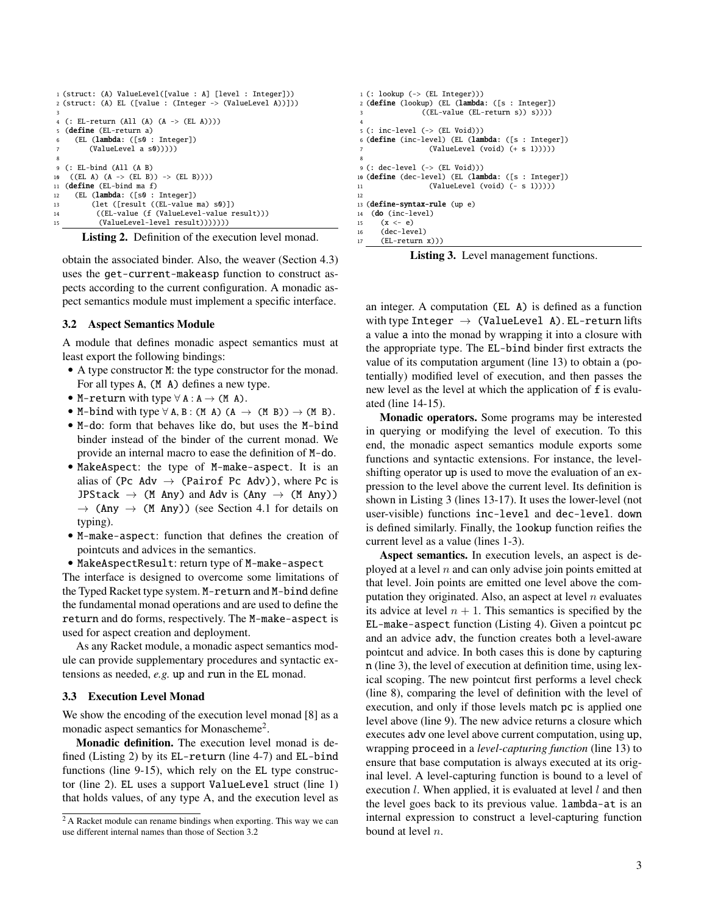```
1 (struct: (A) ValueLevel([value : A] [level : Integer]))
2 (struct: (A) EL ([value : (Integer -> (ValueLevel A))]))
 3
  4 (: EL-return (All (A) (A -> (EL A))))
  (define (EL-return a)
     6 (EL (lambda: ([s0 : Integer])
         (ValueLevel a s()))))8
  9 (: EL-bind (All (A B)
10 ((EL A) (A \rightarrow (EL B)) \rightarrow (EL B))))11 (define (EL-bind ma f)
12 (EL (lambda: ([s0 : Integer])
13 (let ([result ((EL-value ma) s0)])
14 ((EL-value (f (ValueLevel-value result)))
15 (ValueLevel-level result)))))))
```
Listing 2. Definition of the execution level monad.

obtain the associated binder. Also, the weaver (Section 4.3) uses the get-current-makeasp function to construct aspects according to the current configuration. A monadic aspect semantics module must implement a specific interface.

### 3.2 Aspect Semantics Module

A module that defines monadic aspect semantics must at least export the following bindings:

- A type constructor M: the type constructor for the monad. For all types A,  $(M \text{ A})$  defines a new type.
- M-return with type  $\forall A : A \rightarrow (M \ A)$ .
- M-bind with type  $\forall A, B : (M \land A) (A \rightarrow (M \land B)) \rightarrow (M \land B)$ .
- M-do: form that behaves like do, but uses the M-bind binder instead of the binder of the current monad. We provide an internal macro to ease the definition of M-do.
- MakeAspect: the type of M-make-aspect. It is an alias of (Pc Adv  $\rightarrow$  (Pairof Pc Adv)), where Pc is JPStack  $\rightarrow$  (M Any) and Adv is (Any  $\rightarrow$  (M Any))  $\rightarrow$  (Any  $\rightarrow$  (M Any)) (see Section 4.1 for details on typing).
- M-make-aspect: function that defines the creation of pointcuts and advices in the semantics.
- MakeAspectResult: return type of M-make-aspect

The interface is designed to overcome some limitations of the Typed Racket type system. M-return and M-bind define the fundamental monad operations and are used to define the return and do forms, respectively. The M-make-aspect is used for aspect creation and deployment.

As any Racket module, a monadic aspect semantics module can provide supplementary procedures and syntactic extensions as needed, *e.g.* up and run in the EL monad.

#### 3.3 Execution Level Monad

We show the encoding of the execution level monad [8] as a monadic aspect semantics for Monascheme<sup>2</sup>.

Monadic definition. The execution level monad is defined (Listing 2) by its EL-return (line 4-7) and EL-bind functions (line 9-15), which rely on the EL type constructor (line 2). EL uses a support ValueLevel struct (line 1) that holds values, of any type A, and the execution level as

```
1 (: lookup (-> (EL Integer)))
2 (define (lookup) (EL (lambda: ([s : Integer])
               ((EL-value (EL-return s)) s))))4
5 (: inc-level (-> (EL Void)))
6 (define (inc-level) (EL (lambda: ([s : Integer])
                (ValueLevel (void) (+ s 1))))8
9 (: dec-level (-> (EL Void)))
10 (define (dec-level) (EL (lambda: ([s : Integer])
11 (ValueLevel (void) (- s 1)))))
12
13 (define-syntax-rule (up e)
14 (do (inc-level)
15 (x \le -e)16 (dec-level)
(EL-return x))
```
Listing 3. Level management functions.

an integer. A computation (EL A) is defined as a function with type Integer  $\rightarrow$  (ValueLevel A). EL-return lifts a value a into the monad by wrapping it into a closure with the appropriate type. The EL-bind binder first extracts the value of its computation argument (line 13) to obtain a (potentially) modified level of execution, and then passes the new level as the level at which the application of f is evaluated (line 14-15).

Monadic operators. Some programs may be interested in querying or modifying the level of execution. To this end, the monadic aspect semantics module exports some functions and syntactic extensions. For instance, the levelshifting operator up is used to move the evaluation of an expression to the level above the current level. Its definition is shown in Listing 3 (lines 13-17). It uses the lower-level (not user-visible) functions inc-level and dec-level. down is defined similarly. Finally, the lookup function reifies the current level as a value (lines 1-3).

Aspect semantics. In execution levels, an aspect is deployed at a level  $n$  and can only advise join points emitted at that level. Join points are emitted one level above the computation they originated. Also, an aspect at level  $n$  evaluates its advice at level  $n + 1$ . This semantics is specified by the EL-make-aspect function (Listing 4). Given a pointcut pc and an advice adv, the function creates both a level-aware pointcut and advice. In both cases this is done by capturing n (line 3), the level of execution at definition time, using lexical scoping. The new pointcut first performs a level check (line 8), comparing the level of definition with the level of execution, and only if those levels match pc is applied one level above (line 9). The new advice returns a closure which executes adv one level above current computation, using up, wrapping proceed in a *level-capturing function* (line 13) to ensure that base computation is always executed at its original level. A level-capturing function is bound to a level of execution  $l$ . When applied, it is evaluated at level  $l$  and then the level goes back to its previous value. lambda-at is an internal expression to construct a level-capturing function bound at level  $n$ .

 $2A$  Racket module can rename bindings when exporting. This way we can use different internal names than those of Section 3.2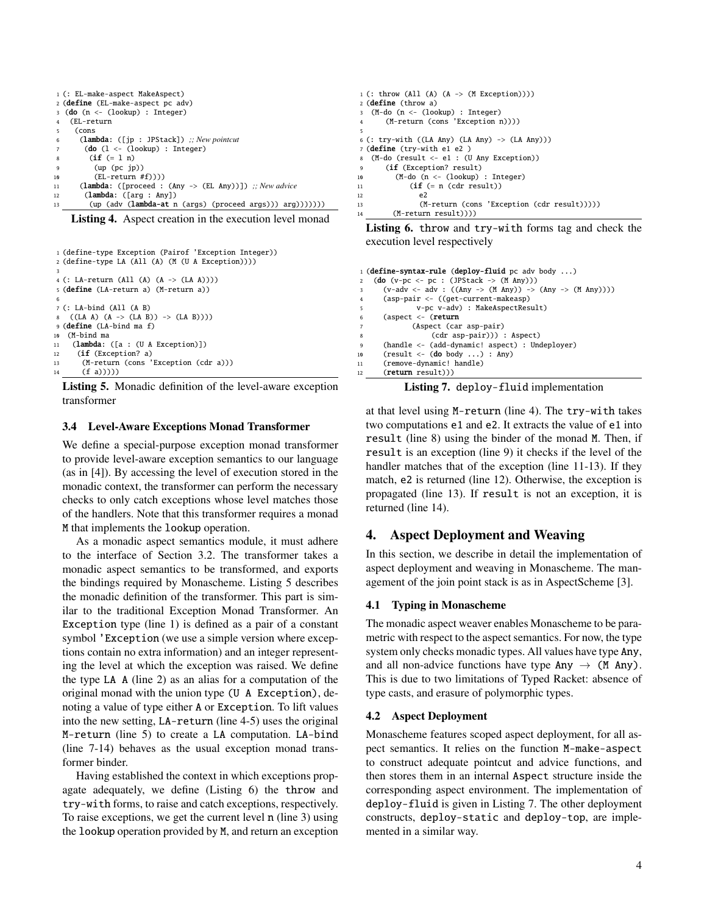```
1 (: EL-make-aspect MakeAspect)
2 (define (EL-make-aspect pc adv)
3 (do (n <- (lookup) : Integer)
    4 (EL-return
     5 (cons
      6 (lambda: ([jp : JPStack]) ;; New pointcut
       (do (l \leftarrow (lookup) : Integer)(iif (= 1 n)(up (pc jp))10 (EL-return #f))))
11 (lambda: ([proceed : (Any -> (EL Any))]) ;; New advice
       (lambda: ([arg : Any])
13 (up (adv (lambda-at n (args) (proceed args))) arg)))))))
```
Listing 4. Aspect creation in the execution level monad

```
1 (define-type Exception (Pairof 'Exception Integer))
2 (define-type LA (All (A) (M (U A Exception))))
 3
4 (: LA-return (All (A) (A -> (LA A))))
5 (define (LA-return a) (M-return a))
 6
7 (: LA-bind (All (A B)
   ((LA A) (A \rightarrow (LA B)) \rightarrow (LA B))))9 (define (LA-bind ma f)
10 (M-bind ma
11 (lambda: ([a : (U A Exception)])
12 (if (Exception? a)
13 (M-return (cons 'Exception (cdr a)))
14 (f (a))))
```
Listing 5. Monadic definition of the level-aware exception transformer

#### 3.4 Level-Aware Exceptions Monad Transformer

We define a special-purpose exception monad transformer to provide level-aware exception semantics to our language (as in [4]). By accessing the level of execution stored in the monadic context, the transformer can perform the necessary checks to only catch exceptions whose level matches those of the handlers. Note that this transformer requires a monad M that implements the lookup operation.

As a monadic aspect semantics module, it must adhere to the interface of Section 3.2. The transformer takes a monadic aspect semantics to be transformed, and exports the bindings required by Monascheme. Listing 5 describes the monadic definition of the transformer. This part is similar to the traditional Exception Monad Transformer. An Exception type (line 1) is defined as a pair of a constant symbol 'Exception (we use a simple version where exceptions contain no extra information) and an integer representing the level at which the exception was raised. We define the type LA A (line 2) as an alias for a computation of the original monad with the union type (U A Exception), denoting a value of type either A or Exception. To lift values into the new setting, LA-return (line 4-5) uses the original M-return (line 5) to create a LA computation. LA-bind (line 7-14) behaves as the usual exception monad transformer binder.

Having established the context in which exceptions propagate adequately, we define (Listing 6) the throw and try-with forms, to raise and catch exceptions, respectively. To raise exceptions, we get the current level n (line 3) using the lookup operation provided by M, and return an exception

```
1 (: throw (All (A) (A -> (M Exception))))
2 (define (throw a)
 3 (M-do (n <- (lookup) : Integer)
4 (M-return (cons 'Exception n))))
 5
6 (: try-with ((LA Any) (LA Any) -> (LA Any)))
7 (define (try-with e1 e2 )
   8 (M-do (result <- e1 : (U Any Exception))
        (if (Exception? result)
10 (M-do (n <- (lookup) : Integer)
11 (if (= n (cdr result))<br>
\begin{array}{c} \n\text{e}^2 \n\end{array}e<sub>2</sub>13 (M-return (cons 'Exception (cdr result)))))
14 (M-return result))))
```
Listing 6. throw and try-with forms tag and check the execution level respectively

```
1 (define-syntax-rule (deploy-fluid pc adv body ...)
2 (do (v-pc <- pc : (JPStack -> (M Any)))
3 (v-adv \left( adv : ((Any -> (M Any)) -> (Any -> (M Any))))
     (asp-pair <- ((get-current-makeasp)
5 v-pc v-adv) : MakeAspectResult)
6 (aspect <- (return
7 (Aspect (car asp-pair)
8 (cdr asp-pair))) : Aspect)
9 (handle <- (add-dynamic! aspect) : Undeployer)
10 (result \langle - (do body ...) : Any)
11 (remove-dynamic! handle)
12 (return result)))
```
Listing 7. deploy-fluid implementation

at that level using M-return (line 4). The try-with takes two computations e1 and e2. It extracts the value of e1 into result (line 8) using the binder of the monad M. Then, if result is an exception (line 9) it checks if the level of the handler matches that of the exception (line 11-13). If they match, e2 is returned (line 12). Otherwise, the exception is propagated (line 13). If result is not an exception, it is returned (line 14).

# 4. Aspect Deployment and Weaving

In this section, we describe in detail the implementation of aspect deployment and weaving in Monascheme. The management of the join point stack is as in AspectScheme [3].

#### 4.1 Typing in Monascheme

The monadic aspect weaver enables Monascheme to be parametric with respect to the aspect semantics. For now, the type system only checks monadic types. All values have type Any, and all non-advice functions have type  $Any \rightarrow (M Any)$ . This is due to two limitations of Typed Racket: absence of type casts, and erasure of polymorphic types.

### 4.2 Aspect Deployment

Monascheme features scoped aspect deployment, for all aspect semantics. It relies on the function M-make-aspect to construct adequate pointcut and advice functions, and then stores them in an internal Aspect structure inside the corresponding aspect environment. The implementation of deploy-fluid is given in Listing 7. The other deployment constructs, deploy-static and deploy-top, are implemented in a similar way.